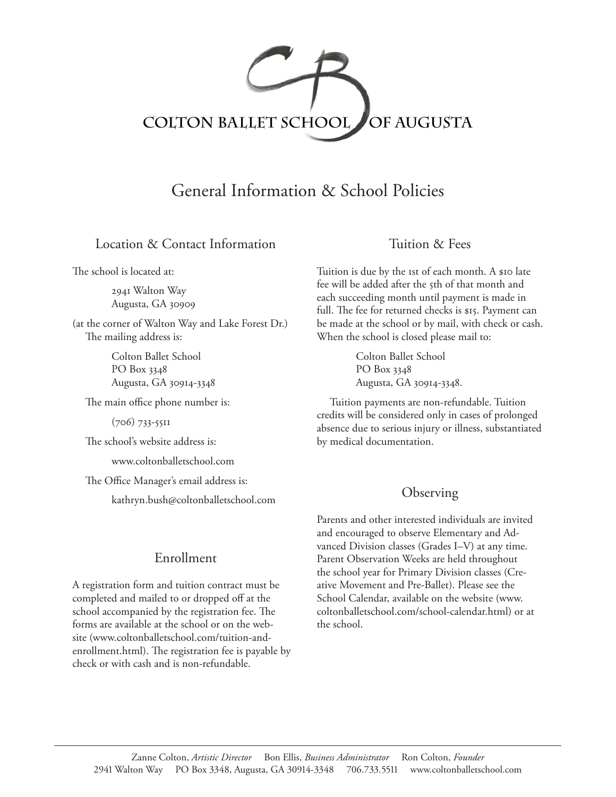

# General Information & School Policies

### Location & Contact Information

The school is located at:

2941 Walton Way Augusta, GA 30909

(at the corner of Walton Way and Lake Forest Dr.) The mailing address is:

> Colton Ballet School PO Box 3348 Augusta, GA 30914-3348

The main office phone number is:

(706) 733-5511

The school's website address is:

www.coltonballetschool.com

The Office Manager's email address is:

kathryn.bush@coltonballetschool.com

### Enrollment

A registration form and tuition contract must be completed and mailed to or dropped off at the school accompanied by the registration fee. The forms are available at the school or on the website (www.coltonballetschool.com/tuition-andenrollment.html). The registration fee is payable by check or with cash and is non-refundable.

### Tuition & Fees

Tuition is due by the 1st of each month. A \$10 late fee will be added after the 5th of that month and each succeeding month until payment is made in full. The fee for returned checks is \$15. Payment can be made at the school or by mail, with check or cash. When the school is closed please mail to:

> Colton Ballet School PO Box 3348 Augusta, GA 30914-3348.

Tuition payments are non-refundable. Tuition credits will be considered only in cases of prolonged absence due to serious injury or illness, substantiated by medical documentation.

#### **Observing**

Parents and other interested individuals are invited and encouraged to observe Elementary and Advanced Division classes (Grades I–V) at any time. Parent Observation Weeks are held throughout the school year for Primary Division classes (Creative Movement and Pre-Ballet). Please see the School Calendar, available on the website (www. coltonballetschool.com/school-calendar.html) or at the school.